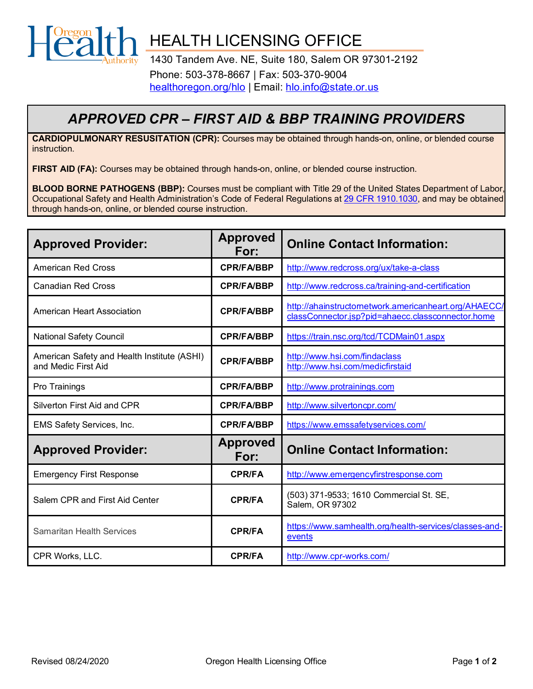

HEALTH LICENSING OFFICE

1430 Tandem Ave. NE, Suite 180, Salem OR 97301-2192 Phone: 503-378-8667 | Fax: 503-370-9004 [healthoregon.org/hlo](http://healthoregon.org/hlo) | Email: [hlo.info@state.or.us](mailto:hlo.info@state.or.us)

## *APPROVED CPR – FIRST AID & BBP TRAINING PROVIDERS*

**CARDIOPULMONARY RESUSITATION (CPR):** Courses may be obtained through hands-on, online, or blended course instruction.

**FIRST AID (FA):** Courses may be obtained through hands-on, online, or blended course instruction.

**BLOOD BORNE PATHOGENS (BBP):** Courses must be compliant with Title 29 of the United States Department of Labor, Occupational Safety and Health Administration's Code of Federal Regulations at [29 CFR 1910.1030,](https://www.osha.gov/pls/oshaweb/owadisp.show_document?p_table=STANDARDS&p_id=10051) and may be obtained through hands-on, online, or blended course instruction.

| <b>Approved Provider:</b>                                          | <b>Approved</b><br>For: | <b>Online Contact Information:</b>                                                                         |
|--------------------------------------------------------------------|-------------------------|------------------------------------------------------------------------------------------------------------|
| <b>American Red Cross</b>                                          | <b>CPR/FA/BBP</b>       | http://www.redcross.org/ux/take-a-class                                                                    |
| <b>Canadian Red Cross</b>                                          | <b>CPR/FA/BBP</b>       | http://www.redcross.ca/training-and-certification                                                          |
| <b>American Heart Association</b>                                  | <b>CPR/FA/BBP</b>       | http://ahainstructornetwork.americanheart.org/AHAECC/<br>classConnector.jsp?pid=ahaecc.classconnector.home |
| <b>National Safety Council</b>                                     | <b>CPR/FA/BBP</b>       | https://train.nsc.org/tcd/TCDMain01.aspx                                                                   |
| American Safety and Health Institute (ASHI)<br>and Medic First Aid | <b>CPR/FA/BBP</b>       | http://www.hsi.com/findaclass<br>http://www.hsi.com/medicfirstaid                                          |
| Pro Trainings                                                      | <b>CPR/FA/BBP</b>       | http://www.protrainings.com                                                                                |
| Silverton First Aid and CPR                                        | <b>CPR/FA/BBP</b>       | http://www.silvertoncpr.com/                                                                               |
| EMS Safety Services, Inc.                                          | <b>CPR/FA/BBP</b>       | https://www.emssafetyservices.com/                                                                         |
| <b>Approved Provider:</b>                                          | <b>Approved</b><br>For: | <b>Online Contact Information:</b>                                                                         |
| <b>Emergency First Response</b>                                    | <b>CPR/FA</b>           | http://www.emergencyfirstresponse.com                                                                      |
| Salem CPR and First Aid Center                                     | <b>CPR/FA</b>           | (503) 371-9533; 1610 Commercial St. SE,<br>Salem, OR 97302                                                 |
| Samaritan Health Services                                          | <b>CPR/FA</b>           | https://www.samhealth.org/health-services/classes-and-<br>events                                           |
| CPR Works, LLC.                                                    | <b>CPR/FA</b>           | http://www.cpr-works.com/                                                                                  |